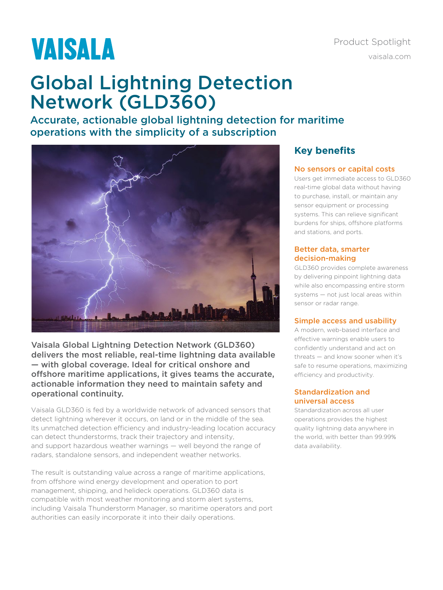# **VAISALA**

# Product Spotlight [vaisala.com](http://www.vaisala.com)

# Global Lightning Detection Network (GLD360)

Accurate, actionable global lightning detection for maritime operations with the simplicity of a subscription



Vaisala Global Lightning Detection Network (GLD360) delivers the most reliable, real-time lightning data available — with global coverage. Ideal for critical onshore and offshore maritime applications, it gives teams the accurate, actionable information they need to maintain safety and operational continuity.

Vaisala GLD360 is fed by a worldwide network of advanced sensors that detect lightning wherever it occurs, on land or in the middle of the sea. Its unmatched detection efficiency and industry-leading location accuracy can detect thunderstorms, track their trajectory and intensity, and support hazardous weather warnings — well beyond the range of radars, standalone sensors, and independent weather networks.

The result is outstanding value across a range of maritime applications, from offshore wind energy development and operation to port management, shipping, and helideck operations. GLD360 data is compatible with most weather monitoring and storm alert systems, including Vaisala Thunderstorm Manager, so maritime operators and port authorities can easily incorporate it into their daily operations.

## **Key benefits**

#### No sensors or capital costs

Users get immediate access to GLD360 real-time global data without having to purchase, install, or maintain any sensor equipment or processing systems. This can relieve significant burdens for ships, offshore platforms and stations, and ports.

#### Better data, smarter decision-making

GLD360 provides complete awareness by delivering pinpoint lightning data while also encompassing entire storm systems — not just local areas within sensor or radar range.

#### Simple access and usability

A modern, web-based interface and effective warnings enable users to confidently understand and act on threats — and know sooner when it's safe to resume operations, maximizing efficiency and productivity.

#### Standardization and universal access

Standardization across all user operations provides the highest quality lightning data anywhere in the world, with better than 99.99% data availability.